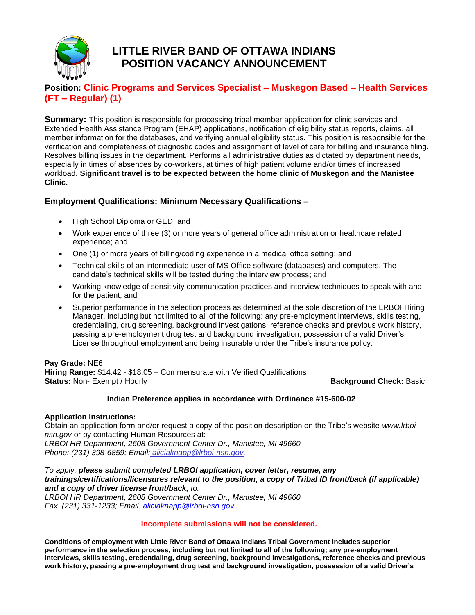

# **LITTLE RIVER BAND OF OTTAWA INDIANS POSITION VACANCY ANNOUNCEMENT**

## **Position: Clinic Programs and Services Specialist – Muskegon Based – Health Services (FT – Regular) (1)**

**Summary:** This position is responsible for processing tribal member application for clinic services and Extended Health Assistance Program (EHAP) applications, notification of eligibility status reports, claims, all member information for the databases, and verifying annual eligibility status. This position is responsible for the verification and completeness of diagnostic codes and assignment of level of care for billing and insurance filing. Resolves billing issues in the department. Performs all administrative duties as dictated by department needs, especially in times of absences by co-workers, at times of high patient volume and/or times of increased workload. **Significant travel is to be expected between the home clinic of Muskegon and the Manistee Clinic.**

### **Employment Qualifications: Minimum Necessary Qualifications** –

- High School Diploma or GED; and
- Work experience of three (3) or more years of general office administration or healthcare related experience; and
- One (1) or more years of billing/coding experience in a medical office setting; and
- Technical skills of an intermediate user of MS Office software (databases) and computers. The candidate's technical skills will be tested during the interview process; and
- Working knowledge of sensitivity communication practices and interview techniques to speak with and for the patient; and
- Superior performance in the selection process as determined at the sole discretion of the LRBOI Hiring Manager, including but not limited to all of the following: any pre-employment interviews, skills testing, credentialing, drug screening, background investigations, reference checks and previous work history, passing a pre-employment drug test and background investigation, possession of a valid Driver's License throughout employment and being insurable under the Tribe's insurance policy.

**Pay Grade:** NE6 **Hiring Range:** \$14.42 - \$18.05 – Commensurate with Verified Qualifications **Status:** Non- Exempt / Hourly **Background Check:** Basic

#### **Indian Preference applies in accordance with Ordinance #15-600-02**

#### **Application Instructions:**

Obtain an application form and/or request a copy of the position description on the Tribe's website *www.lrboinsn.gov* or by contacting Human Resources at: *LRBOI HR Department, 2608 Government Center Dr., Manistee, MI 49660 Phone: (231) 398-6859; Email: aliciaknapp@lrboi-nsn.gov.*

*To apply, please submit completed LRBOI application, cover letter, resume, any trainings/certifications/licensures relevant to the position, a copy of Tribal ID front/back (if applicable) and a copy of driver license front/back, to:* 

*LRBOI HR Department, 2608 Government Center Dr., Manistee, MI 49660 Fax: (231) 331-1233; Email: [aliciaknapp@lrboi-nsn.gov](mailto:aliciaknapp@lrboi-nsn.gov) .*

#### **Incomplete submissions will not be considered.**

**Conditions of employment with Little River Band of Ottawa Indians Tribal Government includes superior performance in the selection process, including but not limited to all of the following; any pre-employment interviews, skills testing, credentialing, drug screening, background investigations, reference checks and previous work history, passing a pre-employment drug test and background investigation, possession of a valid Driver's**